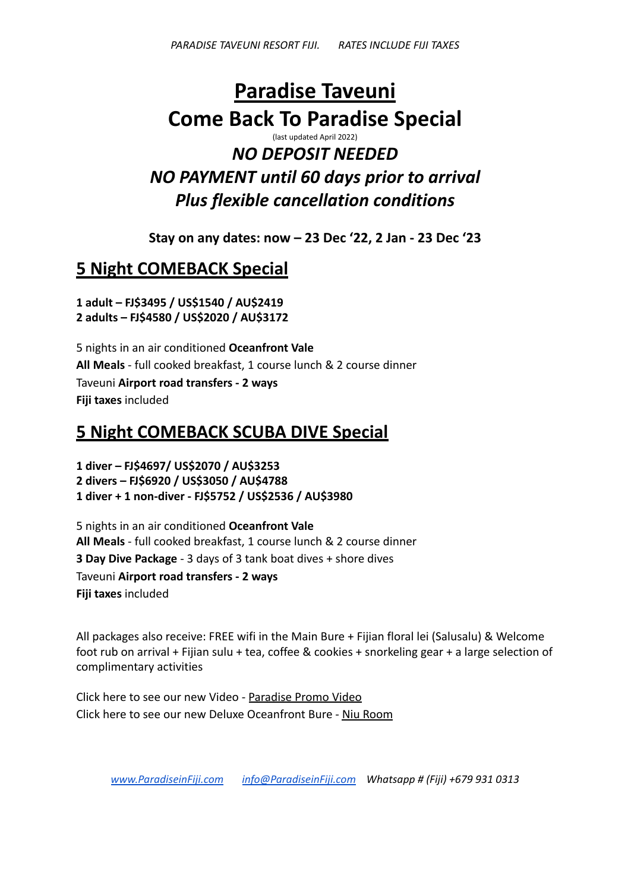# **Paradise Taveuni Come Back To Paradise Special** (last updated April 2022) *NO DEPOSIT NEEDED*

*NO PAYMENT until 60 days prior to arrival Plus flexible cancellation conditions*

**Stay on any dates: now – 23 Dec '22, 2 Jan - 23 Dec '23**

# **5 Night COMEBACK Special**

**1 adult – FJ\$3495 / US\$1540 / AU\$2419 2 adults – FJ\$4580 / US\$2020 / AU\$3172**

5 nights in an air conditioned **Oceanfront Vale All Meals** - full cooked breakfast, 1 course lunch & 2 course dinner Taveuni **Airport road transfers - 2 ways Fiji taxes** included

### **5 Night COMEBACK SCUBA DIVE Special**

**1 diver – FJ\$4697/ US\$2070 / AU\$3253 2 divers – FJ\$6920 / US\$3050 / AU\$4788 1 diver + 1 non-diver - FJ\$5752 / US\$2536 / AU\$3980**

5 nights in an air conditioned **Oceanfront Vale All Meals** - full cooked breakfast, 1 course lunch & 2 course dinner **3 Day Dive Package** - 3 days of 3 tank boat dives + shore dives Taveuni **Airport road transfers - 2 ways Fiji taxes** included

All packages also receive: FREE wifi in the Main Bure + Fijian floral lei (Salusalu) & Welcome foot rub on arrival + Fijian sulu + tea, coffee & cookies + snorkeling gear + a large selection of complimentary activities

Click here to see our new Video - [Paradise Promo Video](https://youtu.be/hNwT-sc-PL4) Click here to see our new Deluxe Oceanfront Bure - [Niu Room](https://youtu.be/XEDFWyBkJoA)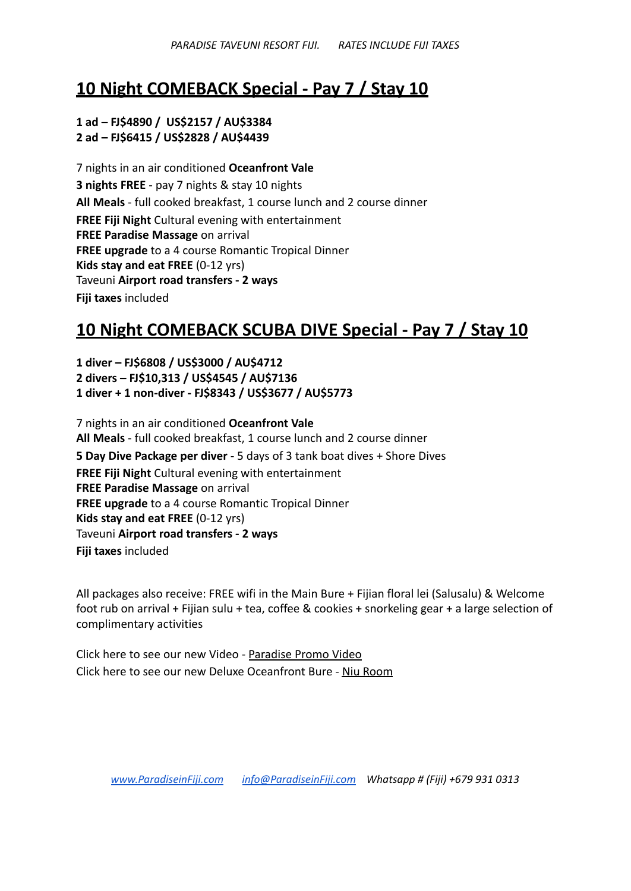### **10 Night COMEBACK Special - Pay 7 / Stay 10**

#### **1 ad – FJ\$4890 / US\$2157 / AU\$3384 2 ad – FJ\$6415 / US\$2828 / AU\$4439**

7 nights in an air conditioned **Oceanfront Vale 3 nights FREE** - pay 7 nights & stay 10 nights **All Meals** - full cooked breakfast, 1 course lunch and 2 course dinner **FREE Fiji Night** Cultural evening with entertainment **FREE Paradise Massage** on arrival **FREE upgrade** to a 4 course Romantic Tropical Dinner **Kids stay and eat FREE** (0-12 yrs) Taveuni **Airport road transfers - 2 ways Fiji taxes** included

## **10 Night COMEBACK SCUBA DIVE Special - Pay 7 / Stay 10**

**1 diver – FJ\$6808 / US\$3000 / AU\$4712 2 divers – FJ\$10,313 / US\$4545 / AU\$7136 1 diver + 1 non-diver - FJ\$8343 / US\$3677 / AU\$5773**

7 nights in an air conditioned **Oceanfront Vale All Meals** - full cooked breakfast, 1 course lunch and 2 course dinner **5 Day Dive Package per diver** - 5 days of 3 tank boat dives + Shore Dives **FREE Fiji Night** Cultural evening with entertainment **FREE Paradise Massage** on arrival **FREE upgrade** to a 4 course Romantic Tropical Dinner **Kids stay and eat FREE** (0-12 yrs) Taveuni **Airport road transfers - 2 ways Fiji taxes** included

All packages also receive: FREE wifi in the Main Bure + Fijian floral lei (Salusalu) & Welcome foot rub on arrival + Fijian sulu + tea, coffee & cookies + snorkeling gear + a large selection of complimentary activities

Click here to see our new Video - [Paradise Promo Video](https://youtu.be/hNwT-sc-PL4) Click here to see our new Deluxe Oceanfront Bure - [Niu Room](https://youtu.be/XEDFWyBkJoA)